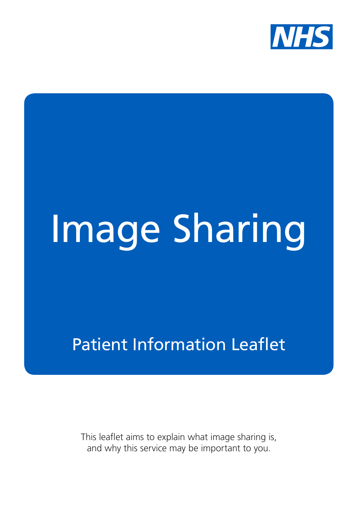

# Image Sharing

Patient Information Leaflet

This leaflet aims to explain what image sharing is, and why this service may be important to you.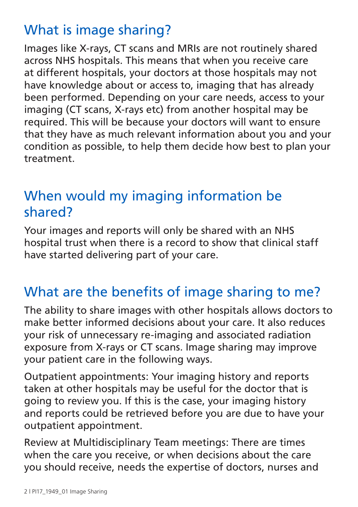## What is image sharing?

Images like X-rays, CT scans and MRIs are not routinely shared across NHS hospitals. This means that when you receive care at different hospitals, your doctors at those hospitals may not have knowledge about or access to, imaging that has already been performed. Depending on your care needs, access to your imaging (CT scans, X-rays etc) from another hospital may be required. This will be because your doctors will want to ensure that they have as much relevant information about you and your condition as possible, to help them decide how best to plan your treatment.

## When would my imaging information be shared?

Your images and reports will only be shared with an NHS hospital trust when there is a record to show that clinical staff have started delivering part of your care.

### What are the benefits of image sharing to me?

The ability to share images with other hospitals allows doctors to make better informed decisions about your care. It also reduces your risk of unnecessary re-imaging and associated radiation exposure from X-rays or CT scans. Image sharing may improve your patient care in the following ways.

Outpatient appointments: Your imaging history and reports taken at other hospitals may be useful for the doctor that is going to review you. If this is the case, your imaging history and reports could be retrieved before you are due to have your outpatient appointment.

Review at Multidisciplinary Team meetings: There are times when the care you receive, or when decisions about the care you should receive, needs the expertise of doctors, nurses and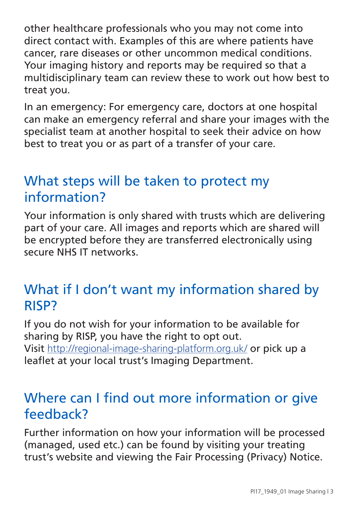other healthcare professionals who you may not come into direct contact with. Examples of this are where patients have cancer, rare diseases or other uncommon medical conditions. Your imaging history and reports may be required so that a multidisciplinary team can review these to work out how best to treat you.

In an emergency: For emergency care, doctors at one hospital can make an emergency referral and share your images with the specialist team at another hospital to seek their advice on how best to treat you or as part of a transfer of your care.

#### What steps will be taken to protect my information?

Your information is only shared with trusts which are delivering part of your care. All images and reports which are shared will be encrypted before they are transferred electronically using secure NHS IT networks.

#### What if I don't want my information shared by RISP?

If you do not wish for your information to be available for sharing by RISP, you have the right to opt out. Visit http://regional-image-sharing-platform.org.uk/ or pick up a leaflet at your local trust's Imaging Department.

#### Where can I find out more information or give feedback?

Further information on how your information will be processed (managed, used etc.) can be found by visiting your treating trust's website and viewing the Fair Processing (Privacy) Notice.